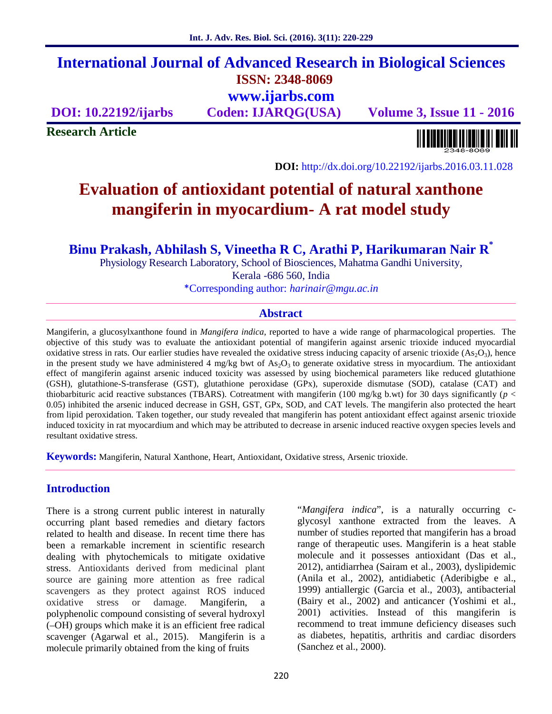# **International Journal of Advanced Research in Biological Sciences ISSN: 2348-8069 www.ijarbs.com**

**DOI: 10.22192/ijarbs Coden: IJARQG(USA) Volume 3, Issue 11 - 2016**

**Research Article**

<u> Alban kalendari kalendar pada sebagai pengangkan pada atau pada atau pada atau sebagai pada atau salah pada a</u>

**DOI:** http://dx.doi.org/10.22192/ijarbs.2016.03.11.028

# **Evaluation of antioxidant potential of natural xanthone mangiferin in myocardium- A rat model study**

**Binu Prakash, Abhilash S, Vineetha R C, Arathi P, Harikumaran Nair R\***

Physiology Research Laboratory, School of Biosciences, Mahatma Gandhi University, Kerala -686 560, India \*Corresponding author: *harinair@mgu.ac.in*

## **Abstract**

Mangiferin, a glucosylxanthone found in *Mangifera indica*, reported to have a wide range of pharmacological properties. The objective of this study was to evaluate the antioxidant potential of mangiferin against arsenic trioxide induced myocardial oxidative stress in rats. Our earlier studies have revealed the oxidative stress inducing capacity of arsenic trioxide  $(As<sub>2</sub>O<sub>3</sub>)$ , hence in the present study we have administered 4 mg/kg bwt of  $As<sub>2</sub>O<sub>3</sub>$  to generate oxidative stress in myocardium. The antioxidant effect of mangiferin against arsenic induced toxicity was assessed by using biochemical parameters like reduced glutathione (GSH), glutathione-S-transferase (GST), glutathione peroxidase (GPx), superoxide dismutase (SOD), catalase (CAT) and thiobarbituric acid reactive substances (TBARS). Cotreatment with mangiferin (100 mg/kg b.wt) for 30 days significantly ( $p <$ 0.05) inhibited the arsenic induced decrease in GSH, GST, GPx, SOD, and CAT levels. The mangiferin also protected the heart from lipid peroxidation. Taken together, our study revealed that mangiferin has potent antioxidant effect against arsenic trioxide induced toxicity in rat myocardium and which may be attributed to decrease in arsenic induced reactive oxygen species levels and resultant oxidative stress.

**Keywords:** Mangiferin, Natural Xanthone, Heart, Antioxidant, Oxidative stress, Arsenic trioxide.

## **Introduction**

There is a strong current public interest in naturally occurring plant based remedies and dietary factors related to health and disease. In recent time there has been a remarkable increment in scientific research dealing with phytochemicals to mitigate oxidative stress. Antioxidants derived from medicinal plant source are gaining more attention as free radical scavengers as they protect against ROS induced oxidative stress or damage. Mangiferin, a polyphenolic compound consisting of several hydroxyl (–OH) groups which make it is an efficient free radical scavenger (Agarwal et al., 2015). Mangiferin is a molecule primarily obtained from the king of fruits

"*Mangifera indica*", is a naturally occurring c glycosyl xanthone extracted from the leaves. A number of studies reported that mangiferin has a broad range of therapeutic uses. Mangiferin is a heat stable molecule and it possesses antioxidant (Das et al., 2012), antidiarrhea (Sairam et al., 2003), dyslipidemic (Anila et al., 2002), antidiabetic (Aderibigbe e al., 1999) antiallergic (Garcia et al., 2003), antibacterial (Bairy et al., 2002) and anticancer (Yoshimi et al., 2001) activities. Instead of this mangiferin is recommend to treat immune deficiency diseases such as diabetes, hepatitis, arthritis and cardiac disorders (Sanchez et al., 2000).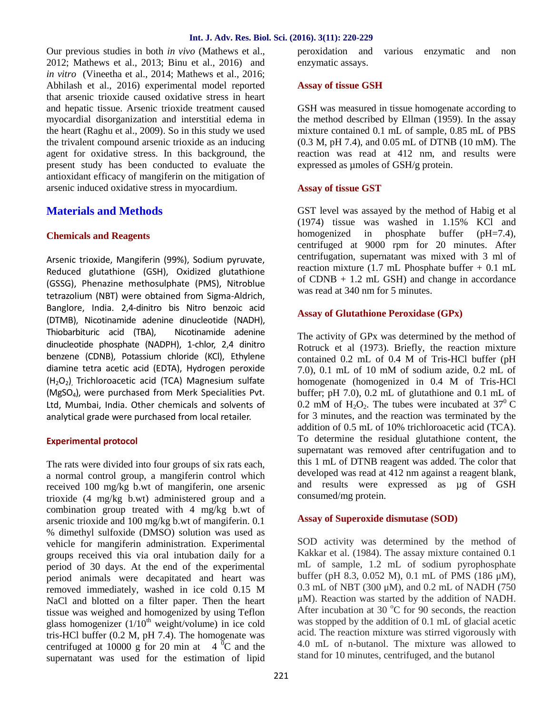Our previous studies in both *in vivo* (Mathews et al., 2012; Mathews et al., 2013; Binu et al., 2016) and *in vitro* (Vineetha et al., 2014; Mathews et al., 2016; Abhilash et al., 2016) experimental model reported that arsenic trioxide caused oxidative stress in heart and hepatic tissue. Arsenic trioxide treatment caused myocardial disorganization and interstitial edema in the heart (Raghu et al., 2009). So in this study we used the trivalent compound arsenic trioxide as an inducing agent for oxidative stress. In this background, the present study has been conducted to evaluate the antioxidant efficacy of mangiferin on the mitigation of arsenic induced oxidative stress in myocardium.

## **Materials and Methods**

## **Chemicals and Reagents**

Arsenic trioxide, Mangiferin (99%), Sodium pyruvate, Reduced glutathione (GSH), Oxidized glutathione (GSSG), Phenazine methosulphate (PMS), Nitroblue tetrazolium (NBT) were obtained from Sigma-Aldrich, Banglore, India. 2,4-dinitro bis Nitro benzoic acid (DTMB), Nicotinamide adenine dinucleotide (NADH), Thiobarbituric acid (TBA), Nicotinamide adenine dinucleotide phosphate (NADPH), 1-chlor, 2,4 dinitro benzene (CDNB), Potassium chloride (KCl), Ethylene diamine tetra acetic acid (EDTA), Hydrogen peroxide (H<sub>2</sub>O<sub>2</sub>) Trichloroacetic acid (TCA) Magnesium sulfate (MgSO4), were purchased from Merk Specialities Pvt. Ltd, Mumbai, India. Other chemicals and solvents of analytical grade were purchased from local retailer.

## **Experimental protocol**

The rats were divided into four groups of six rats each, a normal control group, a mangiferin control which received 100 mg/kg b.wt of mangiferin, one arsenic trioxide (4 mg/kg b.wt) administered group and a combination group treated with 4 mg/kg b.wt of arsenic trioxide and 100 mg/kg b.wt of mangiferin. 0.1 % dimethyl sulfoxide (DMSO) solution was used as vehicle for mangiferin administration. Experimental groups received this via oral intubation daily for a period of 30 days. At the end of the experimental period animals were decapitated and heart was removed immediately, washed in ice cold 0.15 M NaCl and blotted on a filter paper. Then the heart tissue was weighed and homogenized by using Teflon glass homogenizer  $(1/10<sup>th</sup>$  weight/volume) in ice cold tris-HCl buffer (0.2 M, pH 7.4). The homogenate was centrifuged at 10000 g for 20 min at  $4^{0}C$  and the supernatant was used for the estimation of lipid

peroxidation and various enzymatic and non enzymatic assays.

## **Assay of tissue GSH**

GSH was measured in tissue homogenate according to the method described by Ellman (1959). In the assay mixture contained 0.1 mL of sample, 0.85 mL of PBS (0.3 M, pH 7.4), and 0.05 mL of DTNB (10 mM). The reaction was read at 412 nm, and results were expressed as umoles of GSH/g protein.

## **Assay of tissue GST**

GST level was assayed by the method of Habig et al (1974) tissue was washed in 1.15% KCl and homogenized in phosphate buffer (pH=7.4), centrifuged at 9000 rpm for 20 minutes. After centrifugation, supernatant was mixed with 3 ml of reaction mixture  $(1.7 \text{ mL}$  Phosphate buffer  $+0.1 \text{ mL}$ of CDNB + 1.2 mL GSH) and change in accordance was read at 340 nm for 5 minutes.

## **Assay of Glutathione Peroxidase (GPx)**

The activity of GPx was determined by the method of Rotruck et al (1973). Briefly, the reaction mixture contained 0.2 mL of 0.4 M of Tris-HCl buffer (pH 7.0), 0.1 mL of 10 mM of sodium azide, 0.2 mL of homogenate (homogenized in 0.4 M of Tris-HCl buffer; pH 7.0), 0.2 mL of glutathione and 0.1 mL of 0.2 mM of H<sub>2</sub>O<sub>2</sub>. The tubes were incubated at  $37^{\circ}$ C for 3 minutes, and the reaction was terminated by the addition of 0.5 mL of 10% trichloroacetic acid (TCA). To determine the residual glutathione content, the supernatant was removed after centrifugation and to this 1 mL of DTNB reagent was added. The color that developed was read at 412 nm against a reagent blank, and results were expressed as µg of GSH consumed/mg protein.

## **Assay of Superoxide dismutase (SOD)**

SOD activity was determined by the method of Kakkar et al. (1984). The assay mixture contained 0.1 mL of sample, 1.2 mL of sodium pyrophosphate buffer (pH 8.3, 0.052 M), 0.1 mL of PMS (186 μM), 0.3 mL of NBT (300 μM), and 0.2 mL of NADH (750 μM). Reaction was started by the addition of NADH. After incubation at 30  $^{\circ}$ C for 90 seconds, the reaction was stopped by the addition of 0.1 mL of glacial acetic acid. The reaction mixture was stirred vigorously with 4.0 mL of n-butanol. The mixture was allowed to stand for 10 minutes, centrifuged, and the butanol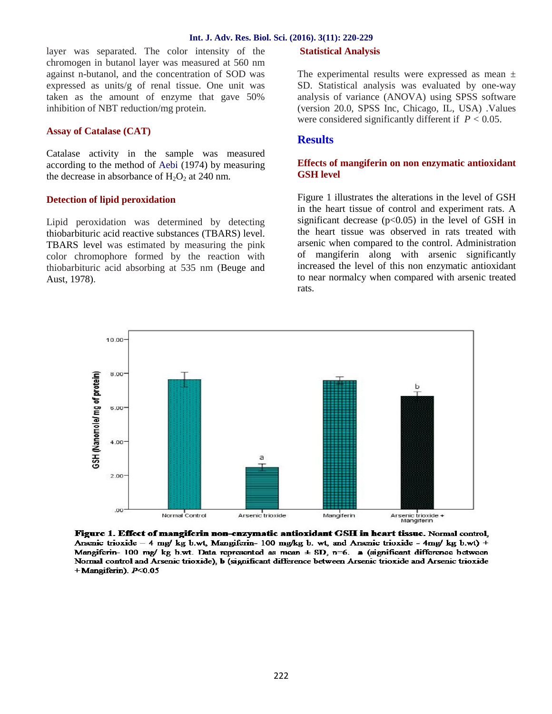#### **Int. J. Adv. Res. Biol. Sci. (2016). 3(11): 220-229**

layer was separated. The color intensity of the chromogen in butanol layer was measured at 560 nm against n-butanol, and the concentration of SOD was expressed as units/g of renal tissue. One unit was taken as the amount of enzyme that gave 50% inhibition of NBT reduction/mg protein.

## **Assay of Catalase (CAT)**

Catalase activity in the sample was measured according to the method of Aebi (1974) by measuring the decrease in absorbance of  $H_2O_2$  at 240 nm.

## **Detection of lipid peroxidation**

Lipid peroxidation was determined by detecting thiobarbituric acid reactive substances (TBARS) level. TBARS level was estimated by measuring the pink color chromophore formed by the reaction with thiobarbituric acid absorbing at 535 nm (Beuge and Aust, 1978).

## **Statistical Analysis**

The experimental results were expressed as mean  $\pm$ SD. Statistical analysis was evaluated by one-way analysis of variance (ANOVA) using SPSS software (version 20.0, SPSS Inc, Chicago, IL, USA) .Values were considered significantly different if *P <* 0*.*05.

## **Results**

## **Effects of mangiferin on non enzymatic antioxidant GSH level**

Figure 1 illustrates the alterations in the level of GSH in the heart tissue of control and experiment rats. A significant decrease  $(p<0.05)$  in the level of GSH in the heart tissue was observed in rats treated with arsenic when compared to the control. Administration of mangiferin along with arsenic significantly increased the level of this non enzymatic antioxidant to near normalcy when compared with arsenic treated rats.



Figure 1. Effect of mangiferin non-enzymatic antioxidant GSH in heart tissue. Normal control, Arsenic trioxide – 4 mg/ kg b.wt, Mangiferin-100 mg/kg b. wt, and Arsenic trioxide - 4 mg/ kg b.wt) + Mangiferin- 100 mg/ kg h.wt. Data represented as mean  $\pm$  SD, n=6. a (significant difference between Normal control and Arsenic trioxide), b (significant difference between Arsenic trioxide and Arsenic trioxide  $+$ Mangiferin).  $P<0.05$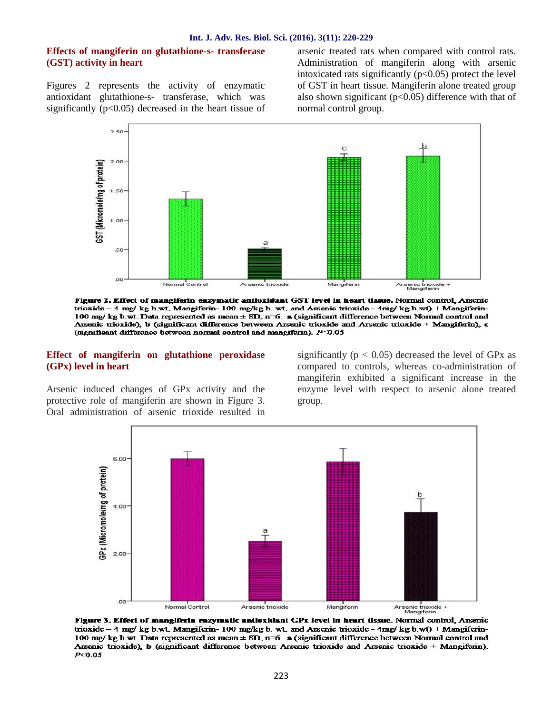## **Effects of mangiferin on glutathione-s- transferase (GST) activity in heart**

Figures 2 represents the activity of enzymatic antioxidant glutathione-s- transferase, which was significantly  $(p<0.05)$  decreased in the heart tissue of arsenic treated rats when compared with control rats. Administration of mangiferin along with arsenic intoxicated rats significantly  $(p<0.05)$  protect the level of GST in heart tissue. Mangiferin alone treated group also shown significant ( $p<0.05$ ) difference with that of normal control group.



Figure 2. Effect of mangiferin enzymatic antioxidant GST level in heart tissue. Normal control, Arsenic trioxide - 4 mg/ kg h.wt, Mangiferin- 100 mg/kg h. wt, and Arsenic trioxide - 4mg/ kg h.wt) | Mangiferin-100 mg/ kg b.wt. Data represented as mean ± SD, n-6. a (significant difference between Normal control and Arsenic trioxide), b (significant difference between Arsenic trioxide and Arsenic trioxide + Mangiferin), c (significant difference between normal control and mangiferin). 1<sup>3-2</sup>0.05

#### **Effect of mangiferin on glutathione peroxidase (GPx) level in heart**

Arsenic induced changes of GPx activity and the protective role of mangiferin are shown in Figure 3. Oral administration of arsenic trioxide resulted in

significantly ( $p < 0.05$ ) decreased the level of GPx as compared to controls, whereas co-administration of mangiferin exhibited a significant increase in the enzyme level with respect to arsenic alone treated group.



Figure 3. Effect of mangiferin enzymatic antioxidant GPx level in heart tissue. Normal control, Arsenic trioxide - 4 mg/ kg b.wt, Mangiferin- 100 mg/kg b. wt, and Arsenic trioxide - 4mg/ kg b.wt) | Mangiferin-100 mg/ kg b.wt. Data represented as mean ± SD, n=6. a (significant difference between Normal control and Arsenic trioxide), b (significant difference between Arsenic trioxide and Arsenic trioxide + Mangiferin).  $P < 0.05$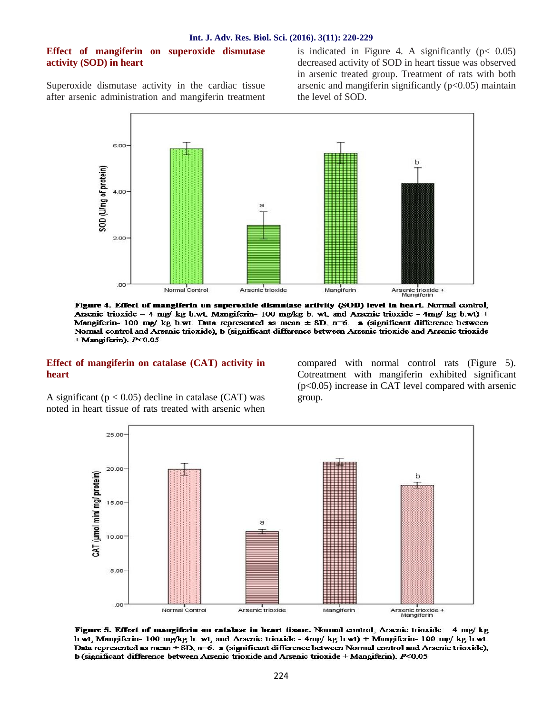## **Effect of mangiferin on superoxide dismutase activity (SOD) in heart**

Superoxide dismutase activity in the cardiac tissue after arsenic administration and mangiferin treatment is indicated in Figure 4. A significantly  $(p < 0.05)$ decreased activity of SOD in heart tissue was observed in arsenic treated group. Treatment of rats with both arsenic and mangiferin significantly  $(p<0.05)$  maintain the level of SOD.



Figure 4. Effect of mangiferin on superoxide dismutase activity (SOD) level in heart. Normal control, Arsenic trioxide - 4 mg/ kg b.wt, Mangiferin- 100 mg/kg b. wt, and Arsenic trioxide - 4mg/ kg b.wt) | Mangiferin- 100 mg/ kg b.wt. Data represented as mean  $\pm$  SD, n=6. a (significant difference between Normal control and Arsenic trioxide), b (significant difference between Arsenic trioxide and Arsenic trioxide | Mangiferin). P<0.05

#### **Effect of mangiferin on catalase (CAT) activity in heart**

compared with normal control rats (Figure 5). Cotreatment with mangiferin exhibited significant (p<0.05) increase in CAT level compared with arsenic group.

A significant ( $p < 0.05$ ) decline in catalase (CAT) was noted in heart tissue of rats treated with arsenic when



Figure 5. Effect of mangiferin on catalase in heart tissue. Normal control, Arsenic trioxide 4 mg/ kg b.wt, Mangiferin- 100 mg/kg b. wt, and Arsenic trioxide - 4mg/kg b.wt) + Mangiferin- 100 mg/kg b.wt. Data represented as mean  $\pm$  SD, n=6. a (significant difference between Normal control and Arsenic trioxide), b (significant difference between Arsenic trioxide and Arsenic trioxide + Mangiferin). P<0.05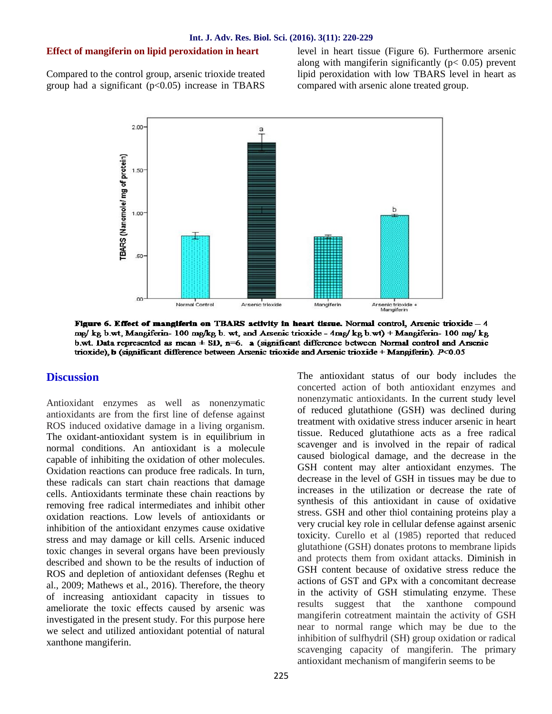## **Effect of mangiferin on lipid peroxidation in heart**

Compared to the control group, arsenic trioxide treated group had a significant  $(p<0.05)$  increase in TBARS

level in heart tissue (Figure 6). Furthermore arsenic along with mangiferin significantly ( $p < 0.05$ ) prevent lipid peroxidation with low TBARS level in heart as compared with arsenic alone treated group.



Figure 6. Effect of mangiferin on TBARS activity in heart tissue. Normal control, Arsenic trioxide - 4 me/ kg b.wt, Mangiferin- 100 mg/kg b. wt, and Arsenic trioxide - 4mg/ kg b.wt) + Mangiferin- 100 mg/ kg b.wt. Data represented as mean  $\pm$  SD, n=6. a (significant difference between Normal control and Arsenic trioxide), b (significant difference between Arsenic trioxide and Arsenic trioxide + Mangiferin).  $P<0.05$ 

## **Discussion**

Antioxidant enzymes as well as nonenzymatic antioxidants are from the first line of defense against ROS induced oxidative damage in a living organism. The oxidant-antioxidant system is in equilibrium in normal conditions. An antioxidant is a molecule capable of inhibiting the oxidation of other molecules. Oxidation reactions can produce free radicals. In turn, these radicals can start chain reactions that damage cells. Antioxidants terminate these chain reactions by removing free radical intermediates and inhibit other oxidation reactions. Low levels of antioxidants or inhibition of the antioxidant enzymes cause oxidative stress and may damage or kill cells. Arsenic induced toxic changes in several organs have been previously described and shown to be the results of induction of ROS and depletion of antioxidant defenses (Reghu et al., 2009; Mathews et al., 2016). Therefore, the theory of increasing antioxidant capacity in tissues to  $\frac{10 \text{ m}}{2}$  the complication that the toxic offects caused by examine west ameliorate the toxic effects caused by arsenic was investigated in the present study. For this purpose here we select and utilized antioxidant potential of natural xanthone mangiferin.

The antioxidant status of our body includes the concerted action of both antioxidant enzymes and nonenzymatic antioxidants. In the current study level of reduced glutathione (GSH) was declined during treatment with oxidative stress inducer arsenic in heart tissue. Reduced glutathione acts as a free radical scavenger and is involved in the repair of radical caused biological damage, and the decrease in the GSH content may alter antioxidant enzymes. The decrease in the level of GSH in tissues may be due to increases in the utilization or decrease the rate of synthesis of this antioxidant in cause of oxidative stress. GSH and other thiol containing proteins play a very crucial key role in cellular defense against arsenic toxicity. Curello et al (1985) reported that reduced glutathione (GSH) donates protons to membrane lipids and protects them from oxidant attacks. Diminish in GSH content because of oxidative stress reduce the actions of GST and GPx with a concomitant decrease in the activity of GSH stimulating enzyme. These suggest that the xanthone compound mangiferin cotreatment maintain the activity of GSH near to normal range which may be due to the inhibition of sulfhydril (SH) group oxidation or radical scavenging capacity of mangiferin. The primary antioxidant mechanism of mangiferin seems to be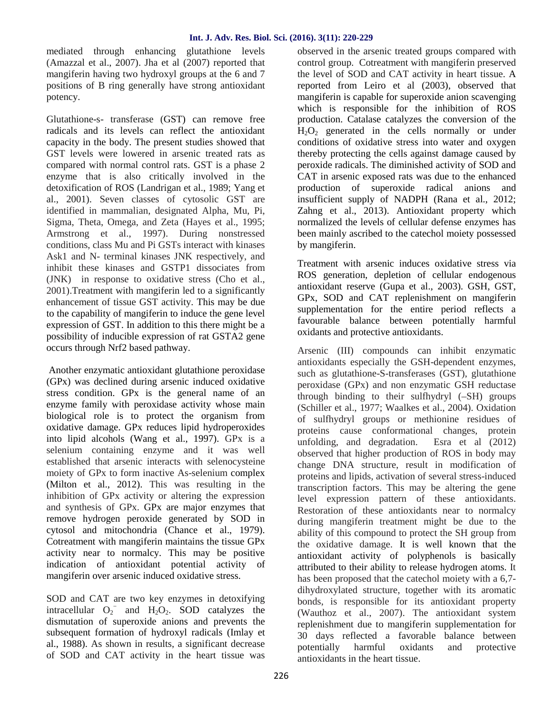mediated through enhancing glutathione levels (Amazzal et al., 2007). Jha et al (2007) reported that mangiferin having two hydroxyl groups at the 6 and 7 positions of B ring generally have strong antioxidant potency.

Glutathione-s- transferase (GST) can remove free radicals and its levels can reflect the antioxidant capacity in the body. The present studies showed that GST levels were lowered in arsenic treated rats as compared with normal control rats. GST is a phase 2 enzyme that is also critically involved in the detoxification of ROS (Landrigan et al., 1989; Yang et al., 2001). Seven classes of cytosolic GST are identified in mammalian, designated Alpha, Mu, Pi, Sigma, Theta, Omega, and Zeta (Hayes et al., 1995; Armstrong et al., 1997). During nonstressed conditions, class Mu and Pi GSTs interact with kinases Ask1 and N- terminal kinases JNK respectively, and inhibit these kinases and GSTP1 dissociates from (JNK) in response to oxidative stress (Cho et al., 2001).Treatment with mangiferin led to a significantly enhancement of tissue GST activity. This may be due to the capability of mangiferin to induce the gene level expression of GST. In addition to this there might be a possibility of inducible expression of rat GSTA2 gene occurs through Nrf2 based pathway.

Another enzymatic antioxidant glutathione peroxidase (GPx) was declined during arsenic induced oxidative stress condition. GPx is the general name of an enzyme family with peroxidase activity whose main biological role is to protect the organism from oxidative damage. GPx reduces lipid hydroperoxides into lipid alcohols (Wang et al., 1997). GPx is a selenium containing enzyme and it was well established that arsenic interacts with selenocysteine moiety of GPx to form inactive As-selenium complex (Milton et al., 2012). This was resulting in the inhibition of GPx activity or altering the expression and synthesis of GPx. GPx are major enzymes that remove hydrogen peroxide generated by SOD in cytosol and mitochondria (Chance et al., 1979). Cotreatment with mangiferin maintains the tissue GPx activity near to normalcy. This may be positive indication of antioxidant potential activity of mangiferin over arsenic induced oxidative stress.

SOD and CAT are two key enzymes in detoxifying intracellular  $O_2^-$  and  $H_2O_2$ . SOD catalyzes the dismutation of superoxide anions and prevents the subsequent formation of hydroxyl radicals (Imlay et al., 1988). As shown in results, a significant decrease of SOD and CAT activity in the heart tissue was

observed in the arsenic treated groups compared with control group. Cotreatment with mangiferin preserved the level of SOD and CAT activity in heart tissue. A reported from Leiro et al (2003), observed that mangiferin is capable for superoxide anion scavenging which is responsible for the inhibition of ROS production. Catalase catalyzes the conversion of the  $H_2O_2$  generated in the cells normally or under conditions of oxidative stress into water and oxygen thereby protecting the cells against damage caused by peroxide radicals. The diminished activity of SOD and CAT in arsenic exposed rats was due to the enhanced production of superoxide radical anions and insufficient supply of NADPH (Rana et al., 2012; Zahng et al., 2013). Antioxidant property which normalized the levels of cellular defense enzymes has been mainly ascribed to the catechol moiety possessed by mangiferin.

Treatment with arsenic induces oxidative stress via ROS generation, depletion of cellular endogenous antioxidant reserve (Gupa et al., 2003). GSH, GST, GPx, SOD and CAT replenishment on mangiferin supplementation for the entire period reflects a favourable balance between potentially harmful oxidants and protective antioxidants.

Arsenic (III) compounds can inhibit enzymatic antioxidants especially the GSH-dependent enzymes, such as glutathione-S-transferases (GST), glutathione peroxidase (GPx) and non enzymatic GSH reductase through binding to their sulfhydryl (–SH) groups (Schiller et al., 1977; Waalkes et al., 2004). Oxidation of sulfhydryl groups or methionine residues of proteins cause conformational changes, protein unfolding, and degradation. Esra et al (2012) observed that higher production of ROS in body may change DNA structure, result in modification of proteins and lipids, activation of several stress-induced transcription factors. This may be altering the gene level expression pattern of these antioxidants. Restoration of these antioxidants near to normalcy during mangiferin treatment might be due to the ability of this compound to protect the SH group from the oxidative damage. It is well known that the antioxidant activity of polyphenols is basically attributed to their ability to release hydrogen atoms. It has been proposed that the catechol moiety with a 6,7 dihydroxylated structure, together with its aromatic bonds, is responsible for its antioxidant property (Wauthoz et al., 2007). The antioxidant system replenishment due to mangiferin supplementation for 30 days reflected a favorable balance between potentially harmful oxidants and protective antioxidants in the heart tissue.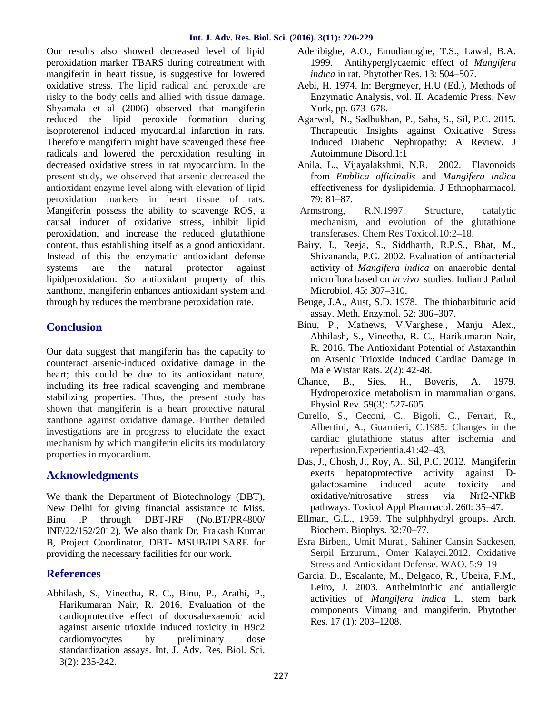## **Int. J. Adv. Res. Biol. Sci. (2016). 3(11): 220-229**

Our results also showed decreased level of lipid peroxidation marker TBARS during cotreatment with mangiferin in heart tissue, is suggestive for lowered oxidative stress. The lipid radical and peroxide are risky to the body cells and allied with tissue damage. Shyamala et al (2006) observed that mangiferin reduced the lipid peroxide formation during isoproterenol induced myocardial infarction in rats. Therefore mangiferin might have scavenged these free radicals and lowered the peroxidation resulting in decreased oxidative stress in rat myocardium. In the present study, we observed that arsenic decreased the antioxidant enzyme level along with elevation of lipid peroxidation markers in heart tissue of rats. Mangiferin possess the ability to scavenge ROS, a causal inducer of oxidative stress, inhibit lipid peroxidation, and increase the reduced glutathione content, thus establishing itself as a good antioxidant. Instead of this the enzymatic antioxidant defense systems are the natural protector against lipidperoxidation. So antioxidant property of this xanthone, mangiferin enhances antioxidant system and through by reduces the membrane peroxidation rate.

# **Conclusion**

Our data suggest that mangiferin has the capacity to counteract arsenic-induced oxidative damage in the heart; this could be due to its antioxidant nature, including its free radical scavenging and membrane stabilizing properties. Thus, the present study has shown that mangiferin is a heart protective natural xanthone against oxidative damage. Further detailed investigations are in progress to elucidate the exact mechanism by which mangiferin elicits its modulatory properties in myocardium.

# **Acknowledgments**

We thank the Department of Biotechnology (DBT), New Delhi for giving financial assistance to Miss. Binu .P through DBT-JRF (No.BT/PR4800/ INF/22/152/2012). We also thank Dr. Prakash Kumar B, Project Coordinator, DBT- MSUB/IPLSARE for providing the necessary facilities for our work.

# **References**

Abhilash, S., Vineetha, R. C., Binu, P., Arathi, P., Harikumaran Nair, R. 2016. Evaluation of the cardioprotective effect of docosahexaenoic acid against arsenic trioxide induced toxicity in H9c2 cardiomyocytes by preliminary dose standardization assays. Int. J. Adv. Res. Biol. Sci. 3(2): 235-242.

- Aderibigbe, A.O., Emudianughe, T.S., Lawal, B.A. 1999. Antihyperglycaemic effect of *Mangifera indica* in rat. Phytother Res. 13: 504–507.
- Aebi, H. 1974. In: Bergmeyer, H.U (Ed.), Methods of Enzymatic Analysis, vol. II. Academic Press, New York, pp. 673–678.
- Agarwal, N., Sadhukhan, P., Saha, S., Sil, P.C. 2015. Therapeutic Insights against Oxidative Stress Induced Diabetic Nephropathy: A Review. J Autoimmune Disord.1:1
- Anila, L., Vijayalakshmi, N.R. 2002. Flavonoids from *Emblica officinalis* and *Mangifera indica* effectiveness for dyslipidemia. J Ethnopharmacol. 79: 81–87.
- Armstrong, R.N.1997. Structure, catalytic mechanism, and evolution of the glutathione transferases. Chem Res Toxicol.10:2–18.
- Bairy, I., Reeja, S., Siddharth, R.P.S., Bhat, M., Shivananda, P.G. 2002. Evaluation of antibacterial activity of *Mangifera indica* on anaerobic dental microflora based on *in vivo* studies. Indian J Pathol Microbiol. 45: 307–310.
- Beuge, J.A., Aust, S.D. 1978. The thiobarbituric acid assay. Meth. Enzymol. 52: 306–307.
- Binu, P., Mathews, V.Varghese., Manju Alex., Abhilash, S., Vineetha, R. C., Harikumaran Nair, R. 2016. The Antioxidant Potential of Astaxanthin on Arsenic Trioxide Induced Cardiac Damage in Male Wistar Rats. 2(2): 42-48.
- Chance, B., Sies, H., Boveris, A. 1979. Hydroperoxide metabolism in mammalian organs. Physiol Rev. 59(3): 527-605.
- Curello, S., Ceconi, C., Bigoli, C., Ferrari, R., Albertini, A., Guarnieri, C.1985. Changes in the cardiac glutathione status after ischemia and reperfusion.Experientia.41:42–43.
- Das, J., Ghosh, J., Roy, A., Sil, P.C. 2012. Mangiferin exerts hepatoprotective activity against D galactosamine induced acute toxicity and oxidative/nitrosative stress via Nrf2-NFkB pathways. Toxicol Appl Pharmacol. 260: 35–47.
- Ellman, G.L., 1959. The sulphhydryl groups. Arch. Biochem. Biophys. 32:70–77.
- Esra Birben., Umit Murat., Sahiner Cansin Sackesen, Serpil Erzurum., Omer Kalayci.2012. Oxidative Stress and Antioxidant Defense. WAO. 5:9–19
- Garcia, D., Escalante, M., Delgado, R., Ubeira, F.M., Leiro, J. 2003. Anthelminthic and antiallergic activities of *Mangifera indica* L. stem bark components Vimang and mangiferin. Phytother Res. 17 (1): 203–1208.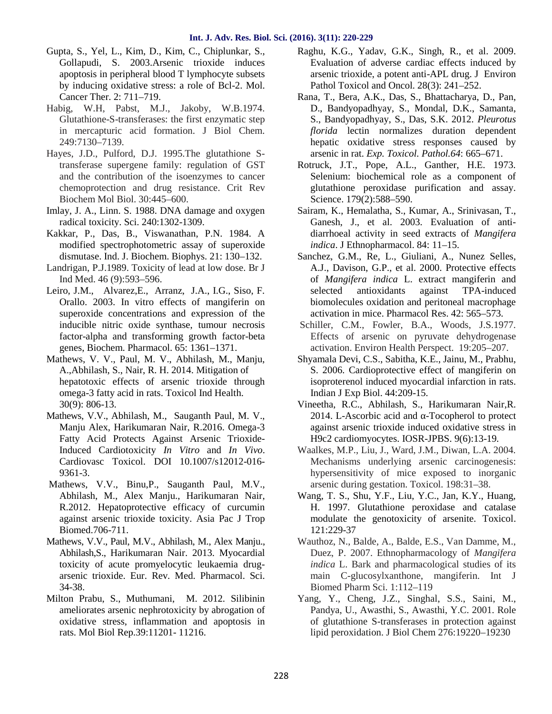- Gupta, S., Yel, L., Kim, D., Kim, C., Chiplunkar, S., Gollapudi, S. 2003.Arsenic trioxide induces apoptosis in peripheral blood T lymphocyte subsets by inducing oxidative stress: a role of Bcl-2. Mol. Cancer Ther. 2: 711–719.
- Habig, W.H, Pabst, M.J., Jakoby, W.B.1974. Glutathione-S-transferases: the first enzymatic step in mercapturic acid formation. J Biol Chem. 249:7130–7139.
- Hayes, J.D., Pulford, D.J. 1995.The glutathione Stransferase supergene family: regulation of GST and the contribution of the isoenzymes to cancer chemoprotection and drug resistance. Crit Rev Biochem Mol Biol. 30:445–600.
- Imlay, J. A., Linn. S. 1988. DNA damage and oxygen radical toxicity. Sci. 240:1302-1309.
- Kakkar, P., Das, B., Viswanathan, P.N. 1984. A modified spectrophotometric assay of superoxide dismutase. Ind. J. Biochem. Biophys. 21: 130–132.
- Landrigan, P.J.1989. Toxicity of lead at low dose. Br J Ind Med. 46 (9):593–596.
- Leiro, J.M., Alvarez,E., Arranz, J.A., I.G., Siso, F. Orallo. 2003. In vitro effects of mangiferin on superoxide concentrations and expression of the inducible nitric oxide synthase, tumour necrosis factor-alpha and transforming growth factor-beta genes, Biochem. Pharmacol. 65: 1361–1371.
- Mathews, V. V., Paul, M. V., Abhilash, M., Manju, A.,Abhilash, S., Nair, R. H. 2014. Mitigation of hepatotoxic effects of arsenic trioxide through omega-3 fatty acid in rats. Toxicol Ind Health. 30(9): 806-13.
- Mathews, V.V., Abhilash, M., Sauganth Paul, M. V., Manju Alex, Harikumaran Nair, R.2016. Omega-3 Fatty Acid Protects Against Arsenic Trioxide-Induced Cardiotoxicity *In Vitro* and *In Vivo*. Cardiovasc Toxicol. DOI 10.1007/s12012-016- 9361-3.
- Mathews, V.V., Binu,P., Sauganth Paul, M.V., Abhilash, M., Alex Manju., Harikumaran Nair, R.2012. Hepatoprotective efficacy of curcumin against arsenic trioxide toxicity. Asia Pac J Trop Biomed.706-711.
- Mathews, V.V., Paul, M.V., Abhilash, M., Alex Manju., Abhilash,S., Harikumaran Nair. 2013. Myocardial toxicity of acute promyelocytic leukaemia drug arsenic trioxide. Eur. Rev. Med. Pharmacol. Sci. 34-38.
- Milton Prabu, S., Muthumani, M. 2012. Silibinin ameliorates arsenic nephrotoxicity by abrogation of oxidative stress, inflammation and apoptosis in rats. Mol Biol Rep.39:11201- 11216.
- Raghu, K.G., Yadav, G.K., Singh, R., et al. 2009. Evaluation of adverse cardiac effects induced by arsenic trioxide, a potent anti-APL drug. J Environ Pathol Toxicol and Oncol. 28(3): 241–252.
- Rana, T., Bera, A.K., Das, S., Bhattacharya, D., Pan, D., Bandyopadhyay, S., Mondal, D.K., Samanta, S., Bandyopadhyay, S., Das, S.K. 2012. *Pleurotus florida* lectin normalizes duration dependent hepatic oxidative stress responses caused by arsenic in rat. *Exp. Toxicol. Pathol.64*: 665–671.
- Rotruck, J.T., Pope, A.L., Ganther, H.E. 1973. Selenium: biochemical role as a component of glutathione peroxidase purification and assay. Science. 179(2):588–590.
- Sairam, K., Hemalatha, S., Kumar, A., Srinivasan, T., Ganesh, J., et al. 2003. Evaluation of anti diarrhoeal activity in seed extracts of *Mangifera indica*. J Ethnopharmacol. 84: 11–15.
- Sanchez, G.M., Re, L., Giuliani, A., Nunez Selles, A.J., Davison, G.P., et al. 2000. Protective effects of *Mangifera indica* L. extract mangiferin and selected antioxidants against TPA-induced biomolecules oxidation and peritoneal macrophage activation in mice. Pharmacol Res. 42: 565–573.
- Schiller, C.M., Fowler, B.A., Woods, J.S.1977. Effects of arsenic on pyruvate dehydrogenase activation. Environ Health Perspect. 19:205–207.
- Shyamala Devi, C.S., Sabitha, K.E., Jainu, M., Prabhu, S. 2006. Cardioprotective effect of mangiferin on isoproterenol induced myocardial infarction in rats. Indian J Exp Biol. 44:209-15.
- Vineetha, R.C., Abhilash, S., Harikumaran Nair,R. 2014. L-Ascorbic acid and -Tocopherol to protect against arsenic trioxide induced oxidative stress in H9c2 cardiomyocytes. IOSR-JPBS. 9(6):13-19*.*
- Waalkes, M.P., Liu, J., Ward, J.M., Diwan, L.A. 2004. Mechanisms underlying arsenic carcinogenesis: hypersensitivity of mice exposed to inorganic arsenic during gestation. Toxicol. 198:31–38.
- Wang, T. S., Shu, Y.F., Liu, Y.C., Jan, K.Y., Huang, H. 1997. Glutathione peroxidase and catalase modulate the genotoxicity of arsenite. Toxicol. 121:229-37
- Wauthoz, N., Balde, A., Balde, E.S., Van Damme, M., Duez, P. 2007. Ethnopharmacology of *Mangifera indica* L. Bark and pharmacological studies of its main C-glucosylxanthone, mangiferin. Int J Biomed Pharm Sci. 1:112–119
- Yang, Y., Cheng, J.Z., Singhal, S.S., Saini, M., Pandya, U., Awasthi, S., Awasthi, Y.C. 2001. Role of glutathione S-transferases in protection against lipid peroxidation. J Biol Chem 276:19220–19230